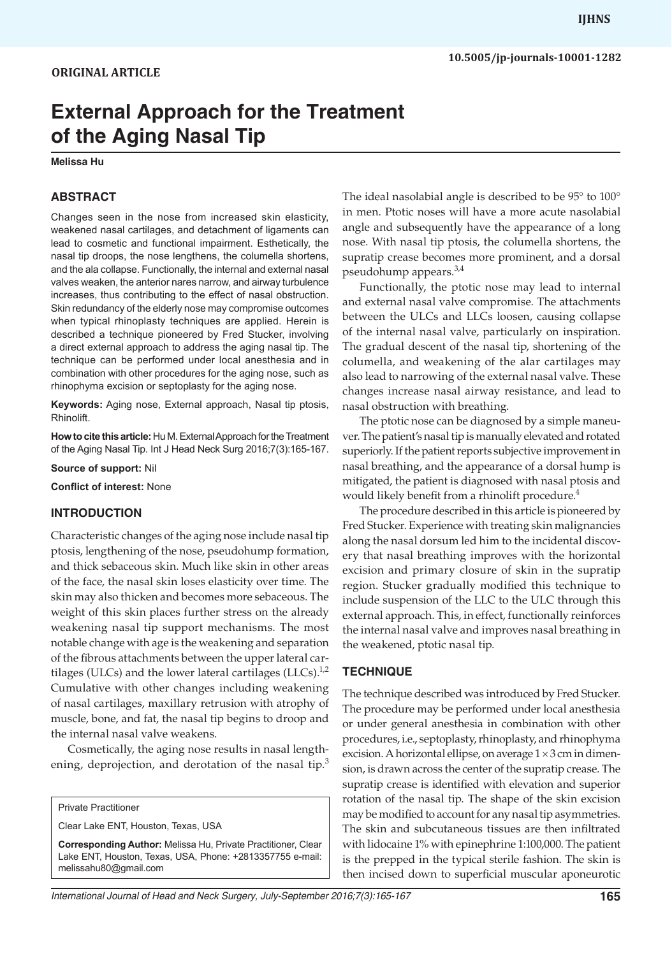# **External Approach for the Treatment of the Aging Nasal Tip**

#### **Melissa Hu**

#### **ABSTRACT**

Changes seen in the nose from increased skin elasticity, weakened nasal cartilages, and detachment of ligaments can lead to cosmetic and functional impairment. Esthetically, the nasal tip droops, the nose lengthens, the columella shortens, and the ala collapse. Functionally, the internal and external nasal valves weaken, the anterior nares narrow, and airway turbulence increases, thus contributing to the effect of nasal obstruction. Skin redundancy of the elderly nose may compromise outcomes when typical rhinoplasty techniques are applied. Herein is described a technique pioneered by Fred Stucker, involving a direct external approach to address the aging nasal tip. The technique can be performed under local anesthesia and in combination with other procedures for the aging nose, such as rhinophyma excision or septoplasty for the aging nose.

**Keywords:** Aging nose, External approach, Nasal tip ptosis, Rhinolift.

**How to cite this article:** Hu M. External Approach for the Treatment of the Aging Nasal Tip. Int J Head Neck Surg 2016;7(3):165-167.

**Source of support:** Nil

**Conflict of interest:** None

#### **INTRODUCTION**

Characteristic changes of the aging nose include nasal tip ptosis, lengthening of the nose, pseudohump formation, and thick sebaceous skin. Much like skin in other areas of the face, the nasal skin loses elasticity over time. The skin may also thicken and becomes more sebaceous. The weight of this skin places further stress on the already weakening nasal tip support mechanisms. The most notable change with age is the weakening and separation of the fibrous attachments between the upper lateral cartilages (ULCs) and the lower lateral cartilages (LLCs). $^{1,2}$ Cumulative with other changes including weakening of nasal cartilages, maxillary retrusion with atrophy of muscle, bone, and fat, the nasal tip begins to droop and the internal nasal valve weakens.

Cosmetically, the aging nose results in nasal lengthening, deprojection, and derotation of the nasal tip.<sup>3</sup>

Clear Lake ENT, Houston, Texas, USA

**Corresponding Author:** Melissa Hu, Private Practitioner, Clear Lake ENT, Houston, Texas, USA, Phone: +2813357755 e-mail: melissahu80@gmail.com

The ideal nasolabial angle is described to be 95° to 100° in men. Ptotic noses will have a more acute nasolabial angle and subsequently have the appearance of a long nose. With nasal tip ptosis, the columella shortens, the supratip crease becomes more prominent, and a dorsal pseudohump appears.<sup>3,4</sup>

Functionally, the ptotic nose may lead to internal and external nasal valve compromise. The attachments between the ULCs and LLCs loosen, causing collapse of the internal nasal valve, particularly on inspiration. The gradual descent of the nasal tip, shortening of the columella, and weakening of the alar cartilages may also lead to narrowing of the external nasal valve. These changes increase nasal airway resistance, and lead to nasal obstruction with breathing.

The ptotic nose can be diagnosed by a simple maneuver. The patient's nasal tip is manually elevated and rotated superiorly. If the patient reports subjective improvement in nasal breathing, and the appearance of a dorsal hump is mitigated, the patient is diagnosed with nasal ptosis and would likely benefit from a rhinolift procedure.<sup>4</sup>

The procedure described in this article is pioneered by Fred Stucker. Experience with treating skin malignancies along the nasal dorsum led him to the incidental discovery that nasal breathing improves with the horizontal excision and primary closure of skin in the supratip region. Stucker gradually modified this technique to include suspension of the LLC to the ULC through this external approach. This, in effect, functionally reinforces the internal nasal valve and improves nasal breathing in the weakened, ptotic nasal tip.

#### **TECHNIQUE**

The technique described was introduced by Fred Stucker. The procedure may be performed under local anesthesia or under general anesthesia in combination with other procedures, i.e., septoplasty, rhinoplasty, and rhinophyma excision. A horizontal ellipse, on average  $1 \times 3$  cm in dimension, is drawn across the center of the supratip crease. The supratip crease is identified with elevation and superior rotation of the nasal tip. The shape of the skin excision may be modified to account for any nasal tip asymmetries. The skin and subcutaneous tissues are then infiltrated with lidocaine 1% with epinephrine 1:100,000. The patient is the prepped in the typical sterile fashion. The skin is then incised down to superficial muscular aponeurotic

Private Practitioner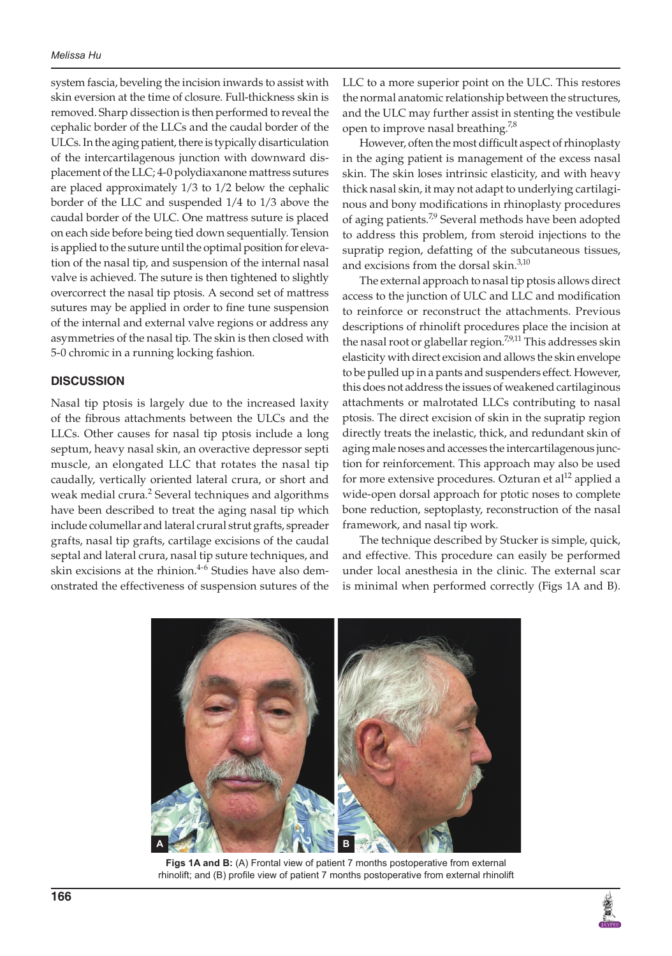system fascia, beveling the incision inwards to assist with skin eversion at the time of closure. Full-thickness skin is removed. Sharp dissection is then performed to reveal the cephalic border of the LLCs and the caudal border of the ULCs. In the aging patient, there is typically disarticulation of the intercartilagenous junction with downward displacement of the LLC; 4-0 polydiaxanone mattress sutures are placed approximately 1/3 to 1/2 below the cephalic border of the LLC and suspended 1/4 to 1/3 above the caudal border of the ULC. One mattress suture is placed on each side before being tied down sequentially. Tension is applied to the suture until the optimal position for elevation of the nasal tip, and suspension of the internal nasal valve is achieved. The suture is then tightened to slightly overcorrect the nasal tip ptosis. A second set of mattress sutures may be applied in order to fine tune suspension of the internal and external valve regions or address any asymmetries of the nasal tip. The skin is then closed with 5-0 chromic in a running locking fashion.

## **DISCUSSION**

Nasal tip ptosis is largely due to the increased laxity of the fibrous attachments between the ULCs and the LLCs. Other causes for nasal tip ptosis include a long septum, heavy nasal skin, an overactive depressor septi muscle, an elongated LLC that rotates the nasal tip caudally, vertically oriented lateral crura, or short and weak medial crura.<sup>2</sup> Several techniques and algorithms have been described to treat the aging nasal tip which include columellar and lateral crural strut grafts, spreader grafts, nasal tip grafts, cartilage excisions of the caudal septal and lateral crura, nasal tip suture techniques, and skin excisions at the rhinion. $4-6$  Studies have also demonstrated the effectiveness of suspension sutures of the

LLC to a more superior point on the ULC. This restores the normal anatomic relationship between the structures, and the ULC may further assist in stenting the vestibule open to improve nasal breathing.<sup>7,8</sup>

However, often the most difficult aspect of rhinoplasty in the aging patient is management of the excess nasal skin. The skin loses intrinsic elasticity, and with heavy thick nasal skin, it may not adapt to underlying cartilaginous and bony modifications in rhinoplasty procedures of aging patients.<sup>7,9</sup> Several methods have been adopted to address this problem, from steroid injections to the supratip region, defatting of the subcutaneous tissues, and excisions from the dorsal skin.<sup>3,10</sup>

The external approach to nasal tip ptosis allows direct access to the junction of ULC and LLC and modification to reinforce or reconstruct the attachments. Previous descriptions of rhinolift procedures place the incision at the nasal root or glabellar region.<sup>7,9,11</sup> This addresses skin elasticity with direct excision and allows the skin envelope to be pulled up in a pants and suspenders effect. However, this does not address the issues of weakened cartilaginous attachments or malrotated LLCs contributing to nasal ptosis. The direct excision of skin in the supratip region directly treats the inelastic, thick, and redundant skin of aging male noses and accesses the intercartilagenous junction for reinforcement. This approach may also be used for more extensive procedures. Ozturan et al<sup>12</sup> applied a wide-open dorsal approach for ptotic noses to complete bone reduction, septoplasty, reconstruction of the nasal framework, and nasal tip work.

The technique described by Stucker is simple, quick, and effective. This procedure can easily be performed under local anesthesia in the clinic. The external scar is minimal when performed correctly (Figs 1A and B).



Figs 1A and B: (A) Frontal view of patient 7 months postoperative from external rhinolift; and (B) profile view of patient 7 months postoperative from external rhinolift